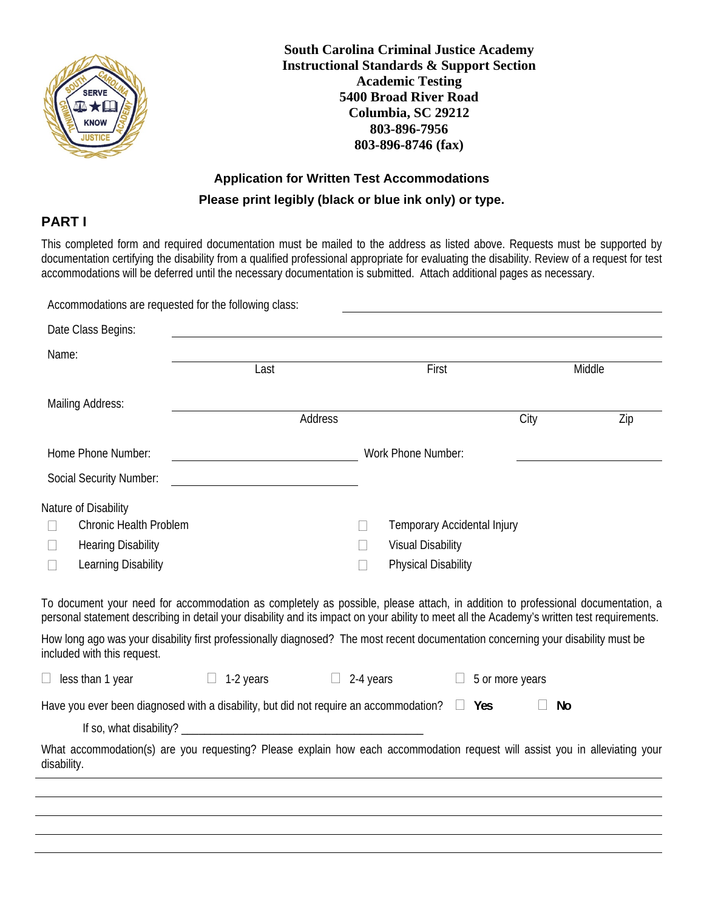

**South Carolina Criminal Justice Academy Instructional Standards & Support Section Academic Testing 5400 Broad River Road Columbia, SC 29212 803-896-7956 803-896-8746 (fax)** 

# **Application for Written Test Accommodations Please print legibly (black or blue ink only) or type.**

## **PART I**

This completed form and required documentation must be mailed to the address as listed above. Requests must be supported by documentation certifying the disability from a qualified professional appropriate for evaluating the disability. Review of a request for test accommodations will be deferred until the necessary documentation is submitted. Attach additional pages as necessary.

| Accommodations are requested for the following class:                                                                                                                                                                                                                                                                                                                                      |                                                    |           |                                                                                       |                 |        |  |  |
|--------------------------------------------------------------------------------------------------------------------------------------------------------------------------------------------------------------------------------------------------------------------------------------------------------------------------------------------------------------------------------------------|----------------------------------------------------|-----------|---------------------------------------------------------------------------------------|-----------------|--------|--|--|
| Date Class Begins:                                                                                                                                                                                                                                                                                                                                                                         |                                                    |           |                                                                                       |                 |        |  |  |
| Name:                                                                                                                                                                                                                                                                                                                                                                                      | Last                                               |           | First                                                                                 |                 | Middle |  |  |
| Mailing Address:                                                                                                                                                                                                                                                                                                                                                                           |                                                    | Address   |                                                                                       | City            | Zip    |  |  |
| Home Phone Number:<br><b>Social Security Number:</b>                                                                                                                                                                                                                                                                                                                                       | <u> 1989 - Johann Barn, fransk politik (</u>       |           | Work Phone Number:                                                                    |                 |        |  |  |
| Nature of Disability<br><b>Chronic Health Problem</b><br><b>Hearing Disability</b><br>Learning Disability<br>To document your need for accommodation as completely as possible, please attach, in addition to professional documentation, a<br>personal statement describing in detail your disability and its impact on your ability to meet all the Academy's written test requirements. |                                                    |           | Temporary Accidental Injury<br><b>Visual Disability</b><br><b>Physical Disability</b> |                 |        |  |  |
| How long ago was your disability first professionally diagnosed? The most recent documentation concerning your disability must be<br>included with this request.                                                                                                                                                                                                                           |                                                    |           |                                                                                       |                 |        |  |  |
| $\Box$ less than 1 year                                                                                                                                                                                                                                                                                                                                                                    | 1-2 years<br>$\begin{array}{c} \hline \end{array}$ | 2-4 years |                                                                                       | 5 or more years |        |  |  |
| Have you ever been diagnosed with a disability, but did not require an accommodation? $\Box$ Yes<br>What accommodation(s) are you requesting? Please explain how each accommodation request will assist you in alleviating your<br>disability.                                                                                                                                             |                                                    |           |                                                                                       | No              |        |  |  |
|                                                                                                                                                                                                                                                                                                                                                                                            |                                                    |           |                                                                                       |                 |        |  |  |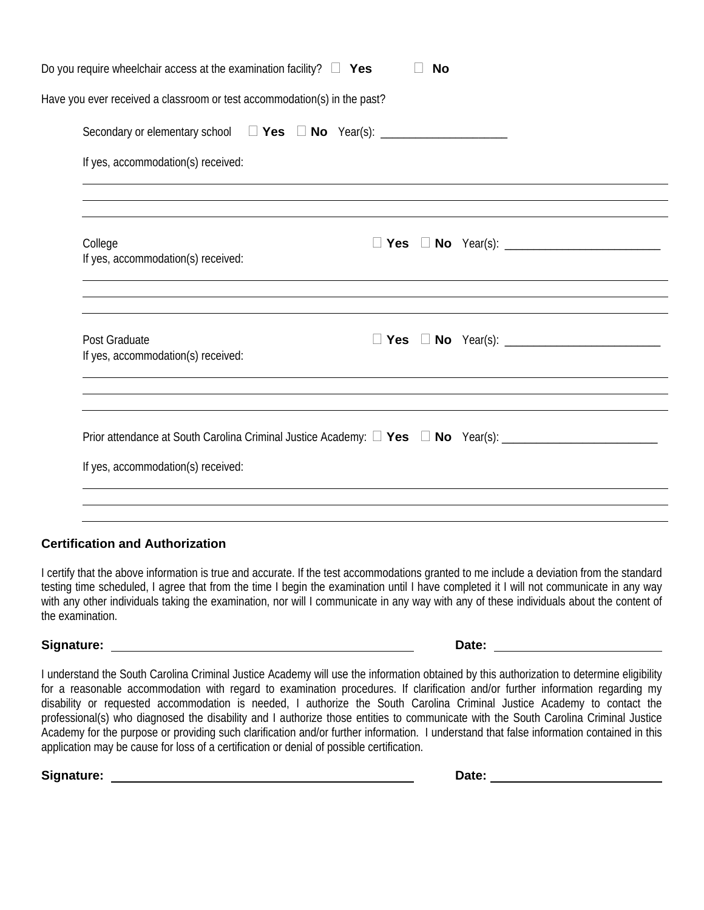| If yes, accommodation(s) received:<br>If yes, accommodation(s) received: |                                    |  |
|--------------------------------------------------------------------------|------------------------------------|--|
|                                                                          |                                    |  |
|                                                                          |                                    |  |
|                                                                          |                                    |  |
|                                                                          |                                    |  |
|                                                                          | If yes, accommodation(s) received: |  |

#### **Certification and Authorization**

I certify that the above information is true and accurate. If the test accommodations granted to me include a deviation from the standard testing time scheduled, I agree that from the time I begin the examination until I have completed it I will not communicate in any way with any other individuals taking the examination, nor will I communicate in any way with any of these individuals about the content of the examination.

**Signature:** Date: **Date: Date: Date: Date: Date: Date: Date: Date: Date: Date: Date: Date: Date: Date: Date: Date: Date: Date: Date: Date: Date: Date: Date: Date: Date: Da** 

I understand the South Carolina Criminal Justice Academy will use the information obtained by this authorization to determine eligibility for a reasonable accommodation with regard to examination procedures. If clarification and/or further information regarding my disability or requested accommodation is needed, I authorize the South Carolina Criminal Justice Academy to contact the professional(s) who diagnosed the disability and I authorize those entities to communicate with the South Carolina Criminal Justice Academy for the purpose or providing such clarification and/or further information. I understand that false information contained in this application may be cause for loss of a certification or denial of possible certification.

Signature: <u>New York: Signature:</u> Date: Date: Date: Date: Date: Date: Date: Date: Date: Date: Date: Date: Date: Date: Date: Date: Date: Date: Date: Date: Date: Date: Date: Date: Date: Date: Date: Date: Date: Date: Date: Da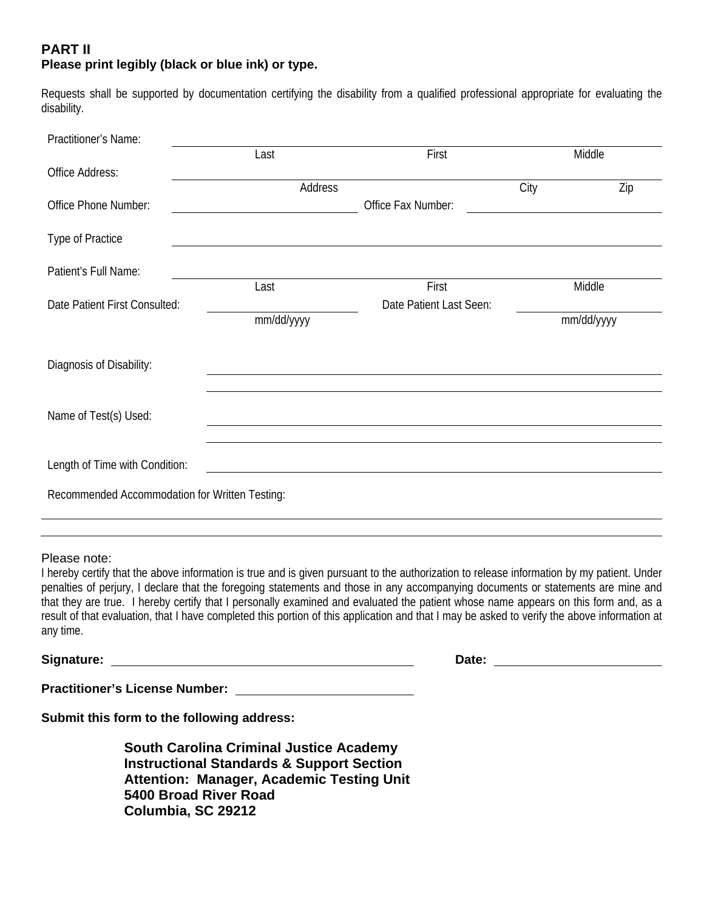## **PART II Please print legibly (black or blue ink) or type.**

Requests shall be supported by documentation certifying the disability from a qualified professional appropriate for evaluating the disability.

| Practitioner's Name:                           |               |                         |            |     |  |
|------------------------------------------------|---------------|-------------------------|------------|-----|--|
|                                                | First<br>Last |                         | Middle     |     |  |
| Office Address:                                |               |                         |            |     |  |
|                                                | Address       |                         | City       | Zip |  |
| Office Phone Number:                           |               | Office Fax Number:      |            |     |  |
| Type of Practice                               |               |                         |            |     |  |
| Patient's Full Name:                           |               |                         |            |     |  |
|                                                | Last          | First                   | Middle     |     |  |
| Date Patient First Consulted:                  |               | Date Patient Last Seen: |            |     |  |
|                                                | mm/dd/yyyy    |                         | mm/dd/yyyy |     |  |
|                                                |               |                         |            |     |  |
| Diagnosis of Disability:                       |               |                         |            |     |  |
|                                                |               |                         |            |     |  |
| Name of Test(s) Used:                          |               |                         |            |     |  |
|                                                |               |                         |            |     |  |
| Length of Time with Condition:                 |               |                         |            |     |  |
|                                                |               |                         |            |     |  |
| Recommended Accommodation for Written Testing: |               |                         |            |     |  |
|                                                |               |                         |            |     |  |

#### Please note:

I hereby certify that the above information is true and is given pursuant to the authorization to release information by my patient. Under penalties of perjury, I declare that the foregoing statements and those in any accompanying documents or statements are mine and that they are true. I hereby certify that I personally examined and evaluated the patient whose name appears on this form and, as a result of that evaluation, that I have completed this portion of this application and that I may be asked to verify the above information at any time.

**Signature: Date:** 

**Practitioner's License Number:** 

**Submit this form to the following address:** 

**South Carolina Criminal Justice Academy Instructional Standards & Support Section Attention: Manager, Academic Testing Unit 5400 Broad River Road Columbia, SC 29212**